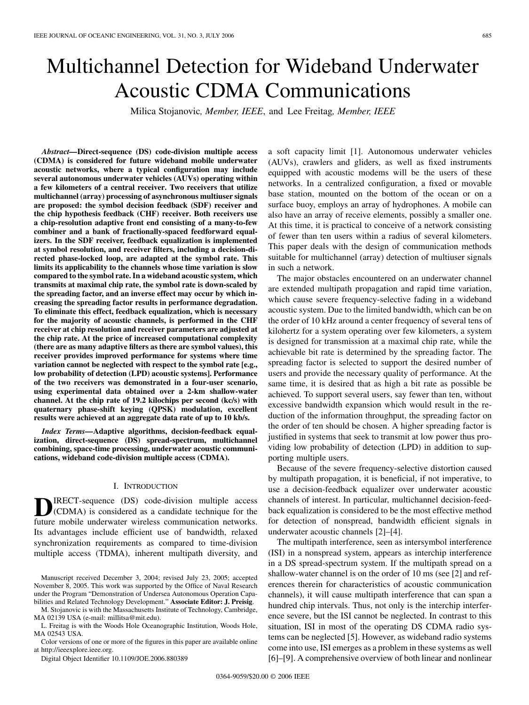# Multichannel Detection for Wideband Underwater Acoustic CDMA Communications

Milica Stojanovic*, Member, IEEE*, and Lee Freitag*, Member, IEEE*

*Abstract—***Direct-sequence (DS) code-division multiple access (CDMA) is considered for future wideband mobile underwater acoustic networks, where a typical configuration may include several autonomous underwater vehicles (AUVs) operating within a few kilometers of a central receiver. Two receivers that utilize multichannel (array) processing of asynchronous multiuser signals are proposed: the symbol decision feedback (SDF) receiver and the chip hypothesis feedback (CHF) receiver. Both receivers use a chip-resolution adaptive front end consisting of a many-to-few combiner and a bank of fractionally-spaced feedforward equalizers. In the SDF receiver, feedback equalization is implemented at symbol resolution, and receiver filters, including a decision-directed phase-locked loop, are adapted at the symbol rate. This limits its applicability to the channels whose time variation is slow compared to the symbol rate. In a wideband acoustic system, which transmits at maximal chip rate, the symbol rate is down-scaled by the spreading factor, and an inverse effect may occur by which increasing the spreading factor results in performance degradation. To eliminate this effect, feedback equalization, which is necessary for the majority of acoustic channels, is performed in the CHF receiver at chip resolution and receiver parameters are adjusted at the chip rate. At the price of increased computational complexity (there are as many adaptive filters as there are symbol values), this receiver provides improved performance for systems where time variation cannot be neglected with respect to the symbol rate [e.g., low probability of detection (LPD) acoustic systems]. Performance of the two receivers was demonstrated in a four-user scenario, using experimental data obtained over a 2-km shallow-water channel. At the chip rate of 19.2 kilochips per second (kc/s) with quaternary phase-shift keying (QPSK) modulation, excellent results were achieved at an aggregate data rate of up to 10 kb/s.**

*Index Terms—***Adaptive algorithms, decision-feedback equalization, direct-sequence (DS) spread-spectrum, multichannel combining, space-time processing, underwater acoustic communications, wideband code-division multiple access (CDMA).**

## I. INTRODUCTION

**D**IRECT-sequence (DS) code-division multiple access<br>(CDMA) is considered as a candidate technique for the<br>future mobile underwater wireless communication networks future mobile underwater wireless communication networks. Its advantages include efficient use of bandwidth, relaxed synchronization requirements as compared to time-division multiple access (TDMA), inherent multipath diversity, and

Manuscript received December 3, 2004; revised July 23, 2005; accepted November 8, 2005. This work was supported by the Office of Naval Research under the Program "Demonstration of Undersea Autonomous Operation Capabilities and Related Technology Development." **Associate Editor: J. Preisig**.

M. Stojanovic is with the Massachusetts Institute of Technology, Cambridge, MA 02139 USA (e-mail: millitsa@mit.edu).

L. Freitag is with the Woods Hole Oceanographic Institution, Woods Hole, MA 02543 USA.

Color versions of one or more of the figures in this paper are available online at http://ieeexplore.ieee.org.

Digital Object Identifier 10.1109/JOE.2006.880389

a soft capacity limit [\[1\]](#page-10-0). Autonomous underwater vehicles (AUVs), crawlers and gliders, as well as fixed instruments equipped with acoustic modems will be the users of these networks. In a centralized configuration, a fixed or movable base station, mounted on the bottom of the ocean or on a surface buoy, employs an array of hydrophones. A mobile can also have an array of receive elements, possibly a smaller one. At this time, it is practical to conceive of a network consisting of fewer than ten users within a radius of several kilometers. This paper deals with the design of communication methods suitable for multichannel (array) detection of multiuser signals in such a network.

The major obstacles encountered on an underwater channel are extended multipath propagation and rapid time variation, which cause severe frequency-selective fading in a wideband acoustic system. Due to the limited bandwidth, which can be on the order of 10 kHz around a center frequency of several tens of kilohertz for a system operating over few kilometers, a system is designed for transmission at a maximal chip rate, while the achievable bit rate is determined by the spreading factor. The spreading factor is selected to support the desired number of users and provide the necessary quality of performance. At the same time, it is desired that as high a bit rate as possible be achieved. To support several users, say fewer than ten, without excessive bandwidth expansion which would result in the reduction of the information throughput, the spreading factor on the order of ten should be chosen. A higher spreading factor is justified in systems that seek to transmit at low power thus providing low probability of detection (LPD) in addition to supporting multiple users.

Because of the severe frequency-selective distortion caused by multipath propagation, it is beneficial, if not imperative, to use a decision-feedback equalizer over underwater acoustic channels of interest. In particular, multichannel decision-feedback equalization is considered to be the most effective method for detection of nonspread, bandwidth efficient signals in underwater acoustic channels [\[2\]–\[4\].](#page-10-0)

The multipath interference, seen as intersymbol interference (ISI) in a nonspread system, appears as interchip interference in a DS spread-spectrum system. If the multipath spread on a shallow-water channel is on the order of 10 ms (see [\[2\]](#page-10-0) and references therein for characteristics of acoustic communication channels), it will cause multipath interference that can span a hundred chip intervals. Thus, not only is the interchip interference severe, but the ISI cannot be neglected. In contrast to this situation, ISI in most of the operating DS CDMA radio systems can be neglected [\[5\].](#page-10-0) However, as wideband radio systems come into use, ISI emerges as a problem in these systems as well [\[6\]–\[9\]](#page-10-0). A comprehensive overview of both linear and nonlinear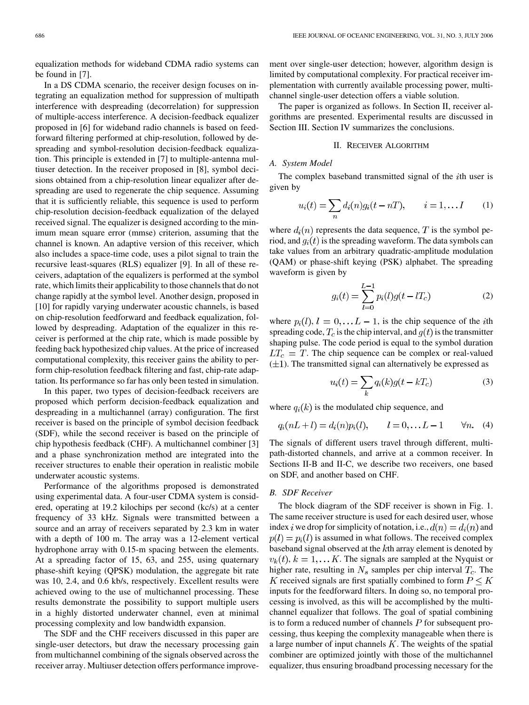equalization methods for wideband CDMA radio systems can be found in [\[7\]](#page-10-0).

In a DS CDMA scenario, the receiver design focuses on integrating an equalization method for suppression of multipath interference with despreading (decorrelation) for suppression of multiple-access interference. A decision-feedback equalizer proposed in [\[6\]](#page-10-0) for wideband radio channels is based on feedforward filtering performed at chip-resolution, followed by despreading and symbol-resolution decision-feedback equalization. This principle is extended in [\[7\]](#page-10-0) to multiple-antenna multiuser detection. In the receiver proposed in [\[8\]](#page-10-0), symbol decisions obtained from a chip-resolution linear equalizer after despreading are used to regenerate the chip sequence. Assuming that it is sufficiently reliable, this sequence is used to perform chip-resolution decision-feedback equalization of the delayed received signal. The equalizer is designed according to the minimum mean square error (mmse) criterion, assuming that the channel is known. An adaptive version of this receiver, which also includes a space-time code, uses a pilot signal to train the recursive least-squares (RLS) equalizer [\[9\].](#page-10-0) In all of these receivers, adaptation of the equalizers is performed at the symbol rate, which limits their applicability to those channels that do not change rapidly at the symbol level. Another design, proposed in [\[10\]](#page-10-0) for rapidly varying underwater acoustic channels, is based on chip-resolution feedforward and feedback equalization, followed by despreading. Adaptation of the equalizer in this receiver is performed at the chip rate, which is made possible by feeding back hypothesized chip values. At the price of increased computational complexity, this receiver gains the ability to perform chip-resolution feedback filtering and fast, chip-rate adaptation. Its performance so far has only been tested in simulation.

In this paper, two types of decision-feedback receivers are proposed which perform decision-feedback equalization and despreading in a multichannel (array) configuration. The first receiver is based on the principle of symbol decision feedback (SDF), while the second receiver is based on the principle of chip hypothesis feedback (CHF). A multichannel combiner [\[3\]](#page-10-0) and a phase synchronization method are integrated into the receiver structures to enable their operation in realistic mobile underwater acoustic systems.

Performance of the algorithms proposed is demonstrated using experimental data. A four-user CDMA system is considered, operating at 19.2 kilochips per second (kc/s) at a center frequency of 33 kHz. Signals were transmitted between a source and an array of receivers separated by 2.3 km in water with a depth of 100 m. The array was a 12-element vertical hydrophone array with 0.15-m spacing between the elements. At a spreading factor of 15, 63, and 255, using quaternary phase-shift keying (QPSK) modulation, the aggregate bit rate was 10, 2.4, and 0.6 kb/s, respectively. Excellent results were achieved owing to the use of multichannel processing. These results demonstrate the possibility to support multiple users in a highly distorted underwater channel, even at minimal processing complexity and low bandwidth expansion.

The SDF and the CHF receivers discussed in this paper are single-user detectors, but draw the necessary processing gain from multichannel combining of the signals observed across the receiver array. Multiuser detection offers performance improvement over single-user detection; however, algorithm design is limited by computational complexity. For practical receiver implementation with currently available processing power, multichannel single-user detection offers a viable solution.

The paper is organized as follows. In Section II, receiver algorithms are presented. Experimental results are discussed in [Section III](#page-4-0). [Section IV](#page-9-0) summarizes the conclusions.

# II. RECEIVER ALGORITHM

#### *A. System Model*

The complex baseband transmitted signal of the  $i$ th user is given by

$$
u_i(t) = \sum_n d_i(n)g_i(t - nT), \qquad i = 1,...I \qquad (1)
$$

where  $d_i(n)$  represents the data sequence, T is the symbol period, and  $g_i(t)$  is the spreading waveform. The data symbols can take values from an arbitrary quadratic-amplitude modulation (QAM) or phase-shift keying (PSK) alphabet. The spreading waveform is given by

$$
g_i(t) = \sum_{l=0}^{L-1} p_i(l)g(t - lT_c)
$$
 (2)

where  $p_i(l), l = 0,...L - 1$ , is the chip sequence of the *i*th spreading code,  $T_c$  is the chip interval, and  $g(t)$  is the transmitter shaping pulse. The code period is equal to the symbol duration  $LT_c = T$ . The chip sequence can be complex or real-valued  $(\pm 1)$ . The transmitted signal can alternatively be expressed as

$$
u_i(t) = \sum_k q_i(k)g(t - kT_c)
$$
 (3)

where  $q_i(k)$  is the modulated chip sequence, and

$$
q_i(nL+l) = d_i(n)p_i(l),
$$
  $l = 0,...L-1$   $\forall n.$  (4)

The signals of different users travel through different, multipath-distorted channels, and arrive at a common receiver. In Sections II-B and [II-C,](#page-3-0) we describe two receivers, one based on SDF, and another based on CHF.

#### *B. SDF Receiver*

The block diagram of the SDF receiver is shown in [Fig. 1](#page-2-0). The same receiver structure is used for each desired user, whose index *i* we drop for simplicity of notation, i.e.,  $d(n) = d_i(n)$  and  $p(l) = p_i(l)$  is assumed in what follows. The received complex baseband signal observed at the  $k$ th array element is denoted by  $v_k(t)$ ,  $k = 1, \dots K$ . The signals are sampled at the Nyquist or higher rate, resulting in  $N_s$  samples per chip interval  $T_c$ . The K received signals are first spatially combined to form  $P \leq K$ inputs for the feedforward filters. In doing so, no temporal processing is involved, as this will be accomplished by the multichannel equalizer that follows. The goal of spatial combining is to form a reduced number of channels  $P$  for subsequent processing, thus keeping the complexity manageable when there is a large number of input channels  $K$ . The weights of the spatial combiner are optimized jointly with those of the multichannel equalizer, thus ensuring broadband processing necessary for the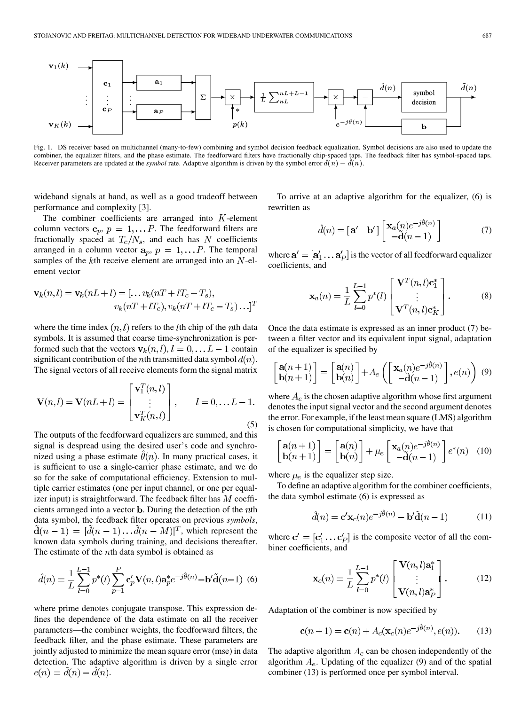<span id="page-2-0"></span>

Fig. 1. DS receiver based on multichannel (many-to-few) combining and symbol decision feedback equalization. Symbol decisions are also used to update the combiner, the equalizer filters, and the phase estimate. The feedforward filters have fractionally chip-spaced taps. The feedback filter has symbol-spaced taps. Fig. 1. DS receiver based on multichannel (many-to-few) combining and symbol decision feedback equalization. Scombiner, the equalizer filters, and the phase estimate. The feedforward filters have fractionally chip-spaced

wideband signals at hand, as well as a good tradeoff between performance and complexity [\[3\]](#page-10-0).

The combiner coefficients are arranged into  $K$ -element column vectors  $\mathbf{c}_p$ ,  $p = 1, \dots P$ . The feedforward filters are fractionally spaced at  $T_c/N_s$ , and each has N coefficients arranged in a column vector  $a_p$ ,  $p = 1, \dots P$ . The temporal samples of the  $k$ th receive element are arranged into an  $N$ -element vector

$$
\mathbf{v}_k(n,l) = \mathbf{v}_k(nL+l) = [\dots v_k(nT + lT_c + T_s),
$$
  

$$
v_k(nT + lT_c), v_k(nT + lT_c - T_s) \dots]^T
$$

where the time index  $(n, l)$  refers to the lth chip of the nth data symbols. It is assumed that coarse time-synchronization is performed such that the vectors  $v_k(n, l)$ ,  $l = 0, \dots L - 1$  contain significant contribution of the *n*th transmitted data symbol  $d(n)$ . The signal vectors of all receive elements form the signal matrix

$$
\mathbf{V}(n,l) = \mathbf{V}(nL+l) = \begin{bmatrix} \mathbf{v}_1^T(n,l) \\ \vdots \\ \mathbf{v}_K^T(n,l) \end{bmatrix}, \qquad l = 0, \dots L-1.
$$
\n(5)

The outputs of the feedforward equalizers are summed, and this signal is despread using the desired user's code and synchronized using a phase estimate  $\hat{\theta}(n)$ . In many practical cases, it is sufficient to use a single-carrier phase estimate, and we do so for the sake of computational efficiency. Extension to multiple carrier estimates (one per input channel, or one per equalizer input) is straightforward. The feedback filter has  $M$  coefficients arranged into a vector  $\bf{b}$ . During the detection of the *n*th data symbol, the feedback filter operates on previous *symbols*,  $\tilde{\mathbf{d}}(n-1) = [\tilde{d}(n-1) \dots \tilde{d}(n-M)]^T$ , which represent the known data symbols during training, and decisions thereafter. The estimate of the *th data symbol is obtained as* 

$$
\hat{d}(n) = \frac{1}{L} \sum_{l=0}^{L-1} p^*(l) \sum_{p=1}^P \mathbf{c}'_p \mathbf{V}(n,l) \mathbf{a}_p^* e^{-j\hat{\theta}(n)} - \mathbf{b}' \tilde{\mathbf{d}}(n-1) \tag{6}
$$

where prime denotes conjugate transpose. This expression defines the dependence of the data estimate on all the receiver parameters—the combiner weights, the feedforward filters, the feedback filter, and the phase estimate. These parameters are jointly adjusted to minimize the mean square error (mse) in data detection. The adaptive algorithm is driven by a single error  $e(n) = \tilde{d}(n) - \hat{d}(n).$ 

To arrive at an adaptive algorithm for the equalizer, (6) is rewritten as

$$
\hat{d}(n) = \begin{bmatrix} \mathbf{a}' & \mathbf{b}' \end{bmatrix} \begin{bmatrix} \mathbf{x}_a(n)e^{-j\hat{\theta}(n)} \\ -\hat{\mathbf{d}}(n-1) \end{bmatrix}
$$
(7)

where  $\mathbf{a}' = [\mathbf{a}'_1 \dots \mathbf{a}'_P]$  is the vector of all feedforward equalizer coefficients, and

$$
\mathbf{x}_{a}(n) = \frac{1}{L} \sum_{l=0}^{L-1} p^{*}(l) \begin{bmatrix} \mathbf{V}^{T}(n, l) \mathbf{c}_{1}^{*} \\ \vdots \\ \mathbf{V}^{T}(n, l) \mathbf{c}_{K}^{*} \end{bmatrix} . \tag{8}
$$

Once the data estimate is expressed as an inner product (7) between a filter vector and its equivalent input signal, adaptation of the equalizer is specified by

$$
\begin{bmatrix} \mathbf{a}(n+1) \\ \mathbf{b}(n+1) \end{bmatrix} = \begin{bmatrix} \mathbf{a}(n) \\ \mathbf{b}(n) \end{bmatrix} + A_e \left( \begin{bmatrix} \mathbf{x}_a(n)e^{-j\hat{\theta}(n)} \\ -\tilde{\mathbf{d}}(n-1) \end{bmatrix}, e(n) \right) (9)
$$

where  $A_e$  is the chosen adaptive algorithm whose first argument denotes the input signal vector and the second argument denotes the error. For example, if the least mean square (LMS) algorithm is chosen for computational simplicity, we have that

$$
\begin{bmatrix} \mathbf{a}(n+1) \\ \mathbf{b}(n+1) \end{bmatrix} = \begin{bmatrix} \mathbf{a}(n) \\ \mathbf{b}(n) \end{bmatrix} + \mu_e \begin{bmatrix} \mathbf{x}_a(n)e^{-j\theta(n)} \\ -\tilde{\mathbf{d}}(n-1) \end{bmatrix} e^*(n) \quad (10)
$$

where  $\mu_e$  is the equalizer step size.

To define an adaptive algorithm for the combiner coefficients, the data symbol estimate (6) is expressed as

$$
\hat{d}(n) = \mathbf{c}' \mathbf{x}_c(n) e^{-j\hat{\theta}(n)} - \mathbf{b}' \tilde{\mathbf{d}}(n-1)
$$
 (11)

where  $\mathbf{c}' = [\mathbf{c}'_1 \dots \mathbf{c}'_P]$  is the composite vector of all the combiner coefficients, and

$$
\mathbf{x}_c(n) = \frac{1}{L} \sum_{l=0}^{L-1} p^*(l) \begin{bmatrix} \mathbf{V}(n,l) \mathbf{a}_1^* \\ \vdots \\ \mathbf{V}(n,l) \mathbf{a}_P^* \end{bmatrix} . \tag{12}
$$

Adaptation of the combiner is now specified by

$$
\mathbf{c}(n+1) = \mathbf{c}(n) + A_c(\mathbf{x}_c(n)e^{-j\theta(n)}, e(n)). \tag{13}
$$

The adaptive algorithm  $A_c$  can be chosen independently of the algorithm  $A_e$ . Updating of the equalizer (9) and of the spatial combiner (13) is performed once per symbol interval.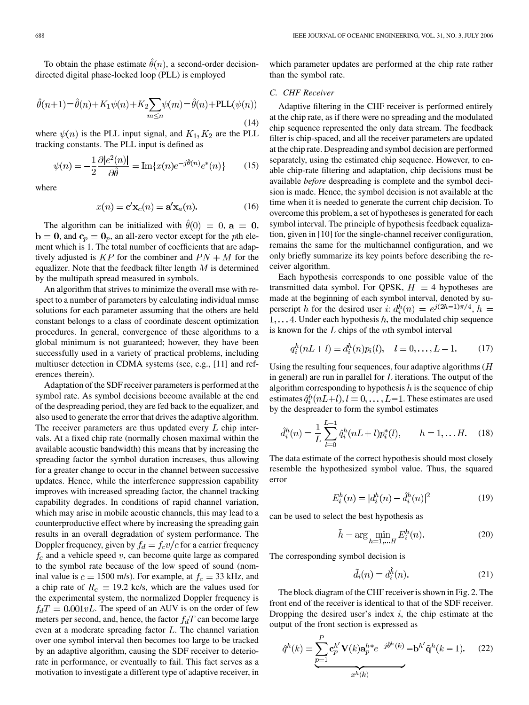<span id="page-3-0"></span>To obtain the phase estimate  $\hat{\theta}(n)$ , a second-order decisiondirected digital phase-locked loop (PLL) is employed

$$
\hat{\theta}(n+1) = \hat{\theta}(n) + K_1 \psi(n) + K_2 \sum_{m \le n} \psi(m) = \hat{\theta}(n) + \text{PLL}(\psi(n))
$$
\n(14)

where  $\psi(n)$  is the PLL input signal, and  $K_1, K_2$  are the PLL tracking constants. The PLL input is defined as

$$
\psi(n) = -\frac{1}{2} \frac{\partial |e^2(n)|}{\partial \hat{\theta}} = \text{Im}\{x(n)e^{-j\hat{\theta}(n)}e^*(n)\} \qquad (15)
$$

where

$$
x(n) = \mathbf{c}' \mathbf{x}_c(n) = \mathbf{a}' \mathbf{x}_a(n).
$$
 (16)

The algorithm can be initialized with  $\hat{\theta}(0) = 0$ ,  $a = 0$ ,  $\mathbf{b} = \mathbf{0}$ , and  $\mathbf{c}_p = \mathbf{0}_p$ , an all-zero vector except for the pth element which is 1. The total number of coefficients that are adaptively adjusted is  $KP$  for the combiner and  $PN + M$  for the equalizer. Note that the feedback filter length  $M$  is determined by the multipath spread measured in symbols.

An algorithm that strives to minimize the overall mse with respect to a number of parameters by calculating individual mmse solutions for each parameter assuming that the others are held constant belongs to a class of coordinate descent optimization procedures. In general, convergence of these algorithms to a global minimum is not guaranteed; however, they have been successfully used in a variety of practical problems, including multiuser detection in CDMA systems (see, e.g., [\[11\]](#page-10-0) and references therein).

Adaptation of the SDF receiver parameters is performed at the symbol rate. As symbol decisions become available at the end of the despreading period, they are fed back to the equalizer, and also used to generate the error that drives the adaptive algorithm. The receiver parameters are thus updated every  $L$  chip intervals. At a fixed chip rate (normally chosen maximal within the available acoustic bandwidth) this means that by increasing the spreading factor the symbol duration increases, thus allowing for a greater change to occur in the channel between successive updates. Hence, while the interference suppression capability improves with increased spreading factor, the channel tracking capability degrades. In conditions of rapid channel variation, which may arise in mobile acoustic channels, this may lead to a counterproductive effect where by increasing the spreading gain results in an overall degradation of system performance. The Doppler frequency, given by  $f_d = f_c v/c$  for a carrier frequency  $f_c$  and a vehicle speed  $v$ , can become quite large as compared to the symbol rate because of the low speed of sound (nominal value is  $c = 1500$  m/s). For example, at  $f_c = 33$  kHz, and a chip rate of  $R_c = 19.2$  kc/s, which are the values used for the experimental system, the normalized Doppler frequency is  $f_dT = 0.001 vL$ . The speed of an AUV is on the order of few meters per second, and, hence, the factor  $f_dT$  can become large even at a moderate spreading factor  $L$ . The channel variation over one symbol interval then becomes too large to be tracked by an adaptive algorithm, causing the SDF receiver to deteriorate in performance, or eventually to fail. This fact serves as a motivation to investigate a different type of adaptive receiver, in

which parameter updates are performed at the chip rate rather than the symbol rate.

## *C. CHF Receiver*

Adaptive filtering in the CHF receiver is performed entirely at the chip rate, as if there were no spreading and the modulated chip sequence represented the only data stream. The feedback filter is chip-spaced, and all the receiver parameters are updated at the chip rate. Despreading and symbol decision are performed separately, using the estimated chip sequence. However, to enable chip-rate filtering and adaptation, chip decisions must be available *before* despreading is complete and the symbol decision is made. Hence, the symbol decision is not available at the time when it is needed to generate the current chip decision. To overcome this problem, a set of hypotheses is generated for each symbol interval. The principle of hypothesis feedback equalization, given in [\[10\]](#page-10-0) for the single-channel receiver configuration, remains the same for the multichannel configuration, and we only briefly summarize its key points before describing the receiver algorithm.

Each hypothesis corresponds to one possible value of the transmitted data symbol. For QPSK,  $H = 4$  hypotheses are made at the beginning of each symbol interval, denoted by superscript h for the desired user i:  $d_i^h(n) = e^{j(2h-1)\pi/4}$ ,  $h =$  $1, \ldots 4$ . Under each hypothesis h, the modulated chip sequence is known for the  $L$  chips of the  $n$ th symbol interval

$$
q_i^h(nL+l) = d_i^h(n)p_i(l), \quad l = 0, \dots, L-1.
$$
 (17)

Using the resulting four sequences, four adaptive algorithms  $(H)$ in general) are run in parallel for  $L$  iterations. The output of the algorithm corresponding to hypothesis  $h$  is the sequence of chip estimates  $\hat{q}_i^h(nL+l), l = 0, \ldots, L-1$ . These estimates are used by the despreader to form the symbol estimates

$$
\hat{d}_i^h(n) = \frac{1}{L} \sum_{l=0}^{L-1} \hat{q}_i^h(nL+l) p_i^*(l), \qquad h = 1, \dots H. \tag{18}
$$

The data estimate of the correct hypothesis should most closely resemble the hypothesized symbol value. Thus, the squared error

$$
E_i^h(n) = |d_i^h(n) - \hat{d}_i^h(n)|^2
$$
 (19)

can be used to select the best hypothesis as

$$
\tilde{h} = \arg\min_{h=1,\dots,H} E_i^h(n). \tag{20}
$$

The corresponding symbol decision is

$$
\tilde{d}_i(n) = d_i^{\tilde{h}}(n). \tag{21}
$$

The block diagram of the CHF receiver is shown in [Fig. 2.](#page-4-0) The front end of the receiver is identical to that of the SDF receiver. Dropping the desired user's index  $i$ , the chip estimate at the output of the front section is expressed as

$$
\hat{q}^h(k) = \underbrace{\sum_{p=1}^P \mathbf{c}_p^{h'} \mathbf{V}(k) \mathbf{a}_p^{h*} e^{-j\hat{\theta}^h(k)} - \mathbf{b}^{h'} \tilde{\mathbf{q}}^h(k-1). \quad (22)}
$$
\n
$$
x^h(k)
$$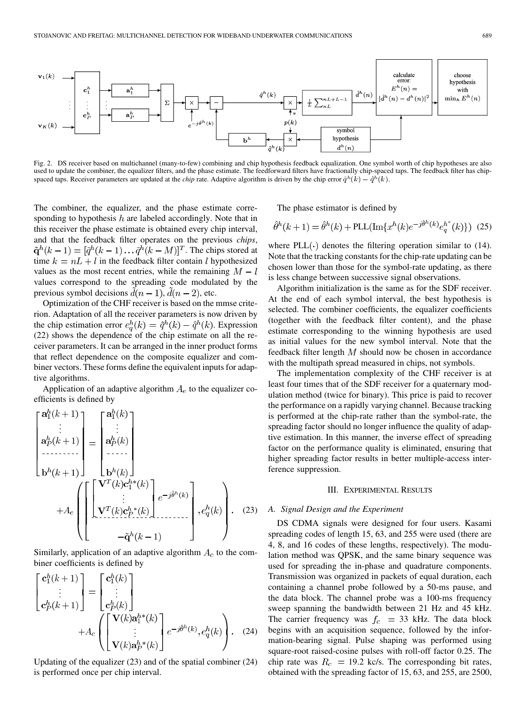<span id="page-4-0"></span>

Fig. 2. DS receiver based on multichannel (many-to-few) combining and chip hypothesis feedback equalization. One symbol worth of chip hypotheses are also used to update the combiner, the equalizer filters, and the phase estimate. The feedforward filters have fractionally chip-spaced taps. The feedback filter has chip-Fig. 2. DS receiver based on multichannel (many-to-few) combining and chip hypothesis feedback equalization. One symber used to update the combiner, the equalizer filters, and the phase estimate. The feedforward filters h

The combiner, the equalizer, and the phase estimate corresponding to hypothesis  $h$  are labeled accordingly. Note that in this receiver the phase estimate is obtained every chip interval, and that the feedback filter operates on the previous *chips*,  $\tilde{\mathbf{q}}^h(k-1) = [\tilde{q}^h(k-1) \dots \tilde{q}^h(k-M)]^T$ . The chips stored at time  $k = nL + l$  in the feedback filter contain l hypothesized values as the most recent entries, while the remaining  $M - l$ values correspond to the spreading code modulated by the previous symbol decisions  $d(n-1)$ ,  $d(n-2)$ , etc.

Optimization of the CHF receiver is based on the mmse criterion. Adaptation of all the receiver parameters is now driven by the chip estimation error  $e_a^h(k) = \tilde{q}^h(k) - \hat{q}^h(k)$ . Expression [\(22\)](#page-3-0) shows the dependence of the chip estimate on all the receiver parameters. It can be arranged in the inner product forms that reflect dependence on the composite equalizer and combiner vectors. These forms define the equivalent inputs for adaptive algorithms.

Application of an adaptive algorithm  $A_e$  to the equalizer coefficients is defined by

$$
\begin{bmatrix}\na_1^h(k+1) \\
\vdots \\
a_P^h(k+1) \\
\vdots \\
b^h(k+1)\n\end{bmatrix} =\n\begin{bmatrix}\na_1^h(k) \\
\vdots \\
a_P^h(k)\n\end{bmatrix}\n+ A_e\n\begin{bmatrix}\n\mathbf{V}^T(k)\mathbf{c}_1^{h*}(k) \\
\vdots \\
\mathbf{V}^T(k)\mathbf{c}_2^{h*}(k)\n\end{bmatrix}\n\begin{bmatrix}\ne^{-j\hat{\theta}^h(k)} \\
\vdots \\
-\tilde{\mathbf{q}}^h(k-1)\n\end{bmatrix},\neq_{q}^{h}(k)\n\begin{bmatrix}\ne^{-j\hat{\theta}^h(k)} \\
\vdots \\
-\tilde{\mathbf{q}}^h(k-1)\n\end{bmatrix}.
$$
\n(23)

Similarly, application of an adaptive algorithm  $A_c$  to the combiner coefficients is defined by

$$
\begin{bmatrix}\n\mathbf{c}_1^h(k+1) \\
\vdots \\
\mathbf{c}_P^h(k+1)\n\end{bmatrix} = \begin{bmatrix}\n\mathbf{c}_1^h(k) \\
\vdots \\
\mathbf{c}_P^h(k)\n\end{bmatrix} + A_c \begin{bmatrix}\n\mathbf{V}(k)\mathbf{a}_1^{h*}(k) \\
\vdots \\
\mathbf{V}(k)\mathbf{a}_P^{h*}(k)\n\end{bmatrix} e^{-j\hat{\theta}^h(k)}, e_q^h(k)\n\begin{bmatrix}\n\mathbf{c}_1^h(k) \\
\mathbf{c}_2^h(k)\n\end{bmatrix}.
$$
\n(24)

Updating of the equalizer (23) and of the spatial combiner (24) is performed once per chip interval.

The phase estimator is defined by

$$
\hat{\theta}^h(k+1) = \hat{\theta}^h(k) + \text{PLL}(\text{Im}\{x^h(k)e^{-j\hat{\theta}^h(k)}e_q^{h^*}(k)\})
$$
 (25)

where  $PLL(·)$  denotes the filtering operation similar to [\(14\).](#page-3-0) Note that the tracking constants for the chip-rate updating can be chosen lower than those for the symbol-rate updating, as there is less change between successive signal observations.

Algorithm initialization is the same as for the SDF receiver. At the end of each symbol interval, the best hypothesis is selected. The combiner coefficients, the equalizer coefficients (together with the feedback filter content), and the phase estimate corresponding to the winning hypothesis are used as initial values for the new symbol interval. Note that the feedback filter length  $M$  should now be chosen in accordance with the multipath spread measured in chips, not symbols.

The implementation complexity of the CHF receiver is at least four times that of the SDF receiver for a quaternary modulation method (twice for binary). This price is paid to recover the performance on a rapidly varying channel. Because tracking is performed at the chip-rate rather than the symbol-rate, the spreading factor should no longer influence the quality of adaptive estimation. In this manner, the inverse effect of spreading factor on the performance quality is eliminated, ensuring that higher spreading factor results in better multiple-access interference suppression.

## III. EXPERIMENTAL RESULTS

#### *A. Signal Design and the Experiment*

DS CDMA signals were designed for four users. Kasami spreading codes of length 15, 63, and 255 were used (there are 4, 8, and 16 codes of these lengths, respectively). The modulation method was QPSK, and the same binary sequence was used for spreading the in-phase and quadrature components. Transmission was organized in packets of equal duration, each containing a channel probe followed by a 50-ms pause, and the data block. The channel probe was a 100-ms frequency sweep spanning the bandwidth between 21 Hz and 45 kHz. The carrier frequency was  $f_c = 33$  kHz. The data block begins with an acquisition sequence, followed by the information-bearing signal. Pulse shaping was performed using square-root raised-cosine pulses with roll-off factor 0.25. The chip rate was  $R_c = 19.2$  kc/s. The corresponding bit rates, obtained with the spreading factor of 15, 63, and 255, are 2500,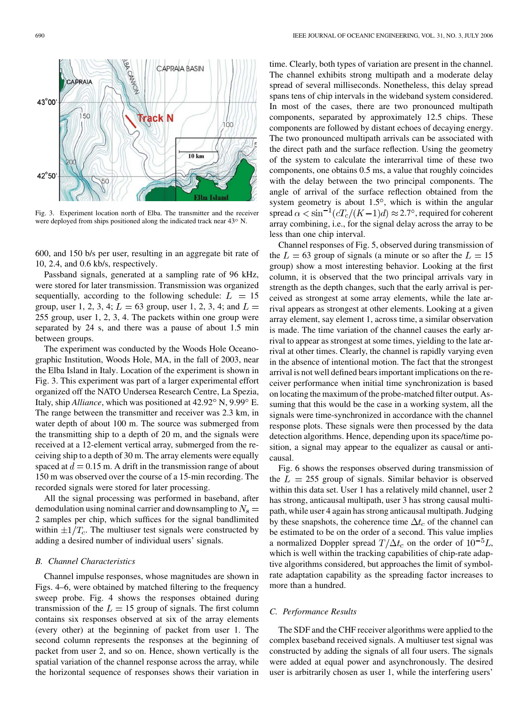**BA CAMON** 43°00 50 rack N  $100$ 10 km 42°50' 50

CAPRAIA BASIN

Fig. 3. Experiment location north of Elba. The transmitter and the receiver were deployed from ships positioned along the indicated track near 43° N.

600, and 150 b/s per user, resulting in an aggregate bit rate of 10, 2.4, and 0.6 kb/s, respectively.

Passband signals, generated at a sampling rate of 96 kHz, were stored for later transmission. Transmission was organized sequentially, according to the following schedule:  $L = 15$ group, user 1, 2, 3, 4;  $L = 63$  group, user 1, 2, 3, 4; and  $L =$ 255 group, user 1, 2, 3, 4. The packets within one group were separated by 24 s, and there was a pause of about 1.5 min between groups.

The experiment was conducted by the Woods Hole Oceanographic Institution, Woods Hole, MA, in the fall of 2003, near the Elba Island in Italy. Location of the experiment is shown in Fig. 3. This experiment was part of a larger experimental effort organized off the NATO Undersea Research Centre, La Spezia, Italy, ship *Alliance*, which was positioned at 42.92° N, 9.99° E. The range between the transmitter and receiver was 2.3 km, in water depth of about 100 m. The source was submerged from the transmitting ship to a depth of 20 m, and the signals were received at a 12-element vertical array, submerged from the receiving ship to a depth of 30 m. The array elements were equally spaced at  $d = 0.15$  m. A drift in the transmission range of about 150 m was observed over the course of a 15-min recording. The recorded signals were stored for later processing.

All the signal processing was performed in baseband, after demodulation using nominal carrier and downsampling to  $N_s =$ 2 samples per chip, which suffices for the signal bandlimited within  $\pm 1/T_c$ . The multiuser test signals were constructed by adding a desired number of individual users' signals.

#### *B. Channel Characteristics*

Channel impulse responses, whose magnitudes are shown in [Figs. 4](#page-6-0)[–6](#page-7-0), were obtained by matched filtering to the frequency sweep probe. [Fig. 4](#page-6-0) shows the responses obtained during transmission of the  $L = 15$  group of signals. The first column contains six responses observed at six of the array elements (every other) at the beginning of packet from user 1. The second column represents the responses at the beginning of packet from user 2, and so on. Hence, shown vertically is the spatial variation of the channel response across the array, while the horizontal sequence of responses shows their variation in

time. Clearly, both types of variation are present in the channel. The channel exhibits strong multipath and a moderate delay spread of several milliseconds. Nonetheless, this delay spread spans tens of chip intervals in the wideband system considered. In most of the cases, there are two pronounced multipath components, separated by approximately 12.5 chips. These components are followed by distant echoes of decaying energy. The two pronounced multipath arrivals can be associated with the direct path and the surface reflection. Using the geometry of the system to calculate the interarrival time of these two components, one obtains 0.5 ms, a value that roughly coincides with the delay between the two principal components. The angle of arrival of the surface reflection obtained from the system geometry is about  $1.5^{\circ}$ , which is within the angular spread  $\alpha < \sin^{-1}(cT_c/(K-1)d) \approx 2.7^{\circ}$ , required for coherent array combining, i.e., for the signal delay across the array to be less than one chip interval.

Channel responses of [Fig. 5](#page-6-0), observed during transmission of the  $L = 63$  group of signals (a minute or so after the  $L = 15$ group) show a most interesting behavior. Looking at the first column, it is observed that the two principal arrivals vary in strength as the depth changes, such that the early arrival is perceived as strongest at some array elements, while the late arrival appears as strongest at other elements. Looking at a given array element, say element 1, across time, a similar observation is made. The time variation of the channel causes the early arrival to appear as strongest at some times, yielding to the late arrival at other times. Clearly, the channel is rapidly varying even in the absence of intentional motion. The fact that the strongest arrival is not well defined bears important implications on the receiver performance when initial time synchronization is based on locating the maximum of the probe-matched filter output. Assuming that this would be the case in a working system, all the signals were time-synchronized in accordance with the channel response plots. These signals were then processed by the data detection algorithms. Hence, depending upon its space/time position, a signal may appear to the equalizer as causal or anticausal.

[Fig. 6](#page-7-0) shows the responses observed during transmission of the  $L = 255$  group of signals. Similar behavior is observed within this data set. User 1 has a relatively mild channel, user 2 has strong, anticausal multipath, user 3 has strong causal multipath, while user 4 again has strong anticausal multipath. Judging by these snapshots, the coherence time  $\Delta t_c$  of the channel can be estimated to be on the order of a second. This value implies a normalized Doppler spread  $T/\Delta t_c$  on the order of  $10^{-5}L$ , which is well within the tracking capabilities of chip-rate adaptive algorithms considered, but approaches the limit of symbolrate adaptation capability as the spreading factor increases to more than a hundred.

## *C. Performance Results*

The SDF and the CHF receiver algorithms were applied to the complex baseband received signals. A multiuser test signal was constructed by adding the signals of all four users. The signals were added at equal power and asynchronously. The desired user is arbitrarily chosen as user 1, while the interfering users'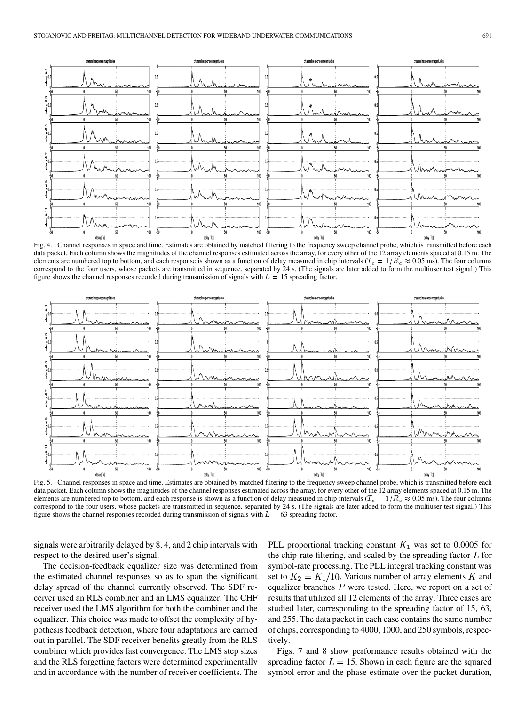<span id="page-6-0"></span>

Fig. 4. Channel responses in space and time. Estimates are obtained by matched filtering to the frequency sweep channel probe, which is transmitted before each data packet. Each column shows the magnitudes of the channel responses estimated across the array, for every other of the 12 array elements spaced at 0.15 m. The elements are numbered top to bottom, and each response is shown as a function of delay measured in chip intervals ( $T_c = 1/R_c \approx 0.05$  ms). The four columns correspond to the four users, whose packets are transmitted in sequence, separated by 24 s. (The signals are later added to form the multiuser test signal.) This figure shows the channel responses recorded during transmission of signals with  $L = 15$  spreading factor.



Fig. 5. Channel responses in space and time. Estimates are obtained by matched filtering to the frequency sweep channel probe, which is transmitted before each data packet. Each column shows the magnitudes of the channel responses estimated across the array, for every other of the 12 array elements spaced at 0.15 m. The elements are numbered top to bottom, and each response is shown as a function of delay measured in chip intervals ( $T_c = 1/R_c \approx 0.05$  ms). The four columns correspond to the four users, whose packets are transmitted in sequence, separated by 24 s. (The signals are later added to form the multiuser test signal.) This figure shows the channel responses recorded during transmission of signals with  $L = 63$  spreading factor.

signals were arbitrarily delayed by 8, 4, and 2 chip intervals with respect to the desired user's signal.

The decision-feedback equalizer size was determined from the estimated channel responses so as to span the significant delay spread of the channel currently observed. The SDF receiver used an RLS combiner and an LMS equalizer. The CHF receiver used the LMS algorithm for both the combiner and the equalizer. This choice was made to offset the complexity of hypothesis feedback detection, where four adaptations are carried out in parallel. The SDF receiver benefits greatly from the RLS combiner which provides fast convergence. The LMS step sizes and the RLS forgetting factors were determined experimentally and in accordance with the number of receiver coefficients. The

PLL proportional tracking constant  $K_1$  was set to 0.0005 for the chip-rate filtering, and scaled by the spreading factor  $L$  for symbol-rate processing. The PLL integral tracking constant was set to  $K_2 = K_1/10$ . Various number of array elements K and equalizer branches  $P$  were tested. Here, we report on a set of results that utilized all 12 elements of the array. Three cases are studied later, corresponding to the spreading factor of 15, 63, and 255. The data packet in each case contains the same number of chips, corresponding to 4000, 1000, and 250 symbols, respectively.

[Figs. 7](#page-7-0) and [8](#page-7-0) show performance results obtained with the spreading factor  $L = 15$ . Shown in each figure are the squared symbol error and the phase estimate over the packet duration,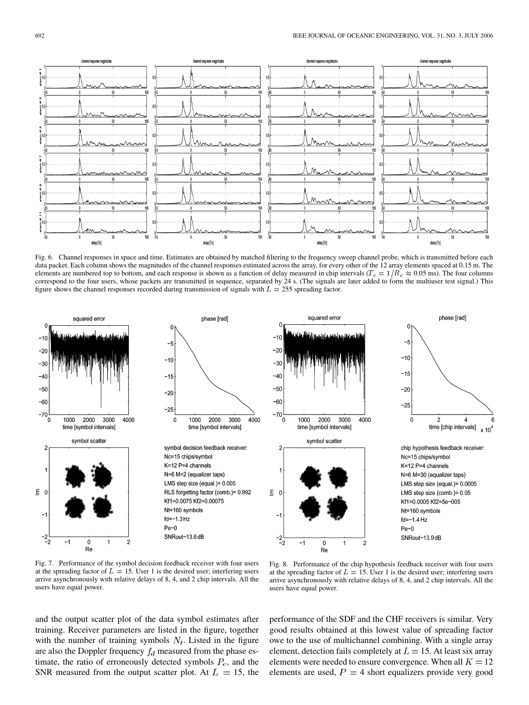<span id="page-7-0"></span>

Fig. 6. Channel responses in space and time. Estimates are obtained by matched filtering to the frequency sweep channel probe, which is transmitted before each data packet. Each column shows the magnitudes of the channel responses estimated across the array, for every other of the 12 array elements spaced at 0.15 m. The elements are numbered top to bottom, and each response is shown as a function of delay measured in chip intervals  $(T_c = 1/R_c \approx 0.05 \text{ ms})$ . The four columns correspond to the four users, whose packets are transmitted in sequence, separated by 24 s. (The signals are later added to form the multiuser test signal.) This figure shows the channel responses recorded during transmission of signals with  $L = 255$  spreading factor.



Fig. 7. Performance of the symbol decision feedback receiver with four users at the spreading factor of  $L = 15$ . User 1 is the desired user; interfering users arrive asynchronously with relative delays of 8, 4, and 2 chip intervals. All the users have equal power.

Fig. 8. Performance of the chip hypothesis feedback receiver with four users at the spreading factor of  $L = 15$ . User 1 is the desired user; interfering users arrive asynchronously with relative delays of 8, 4, and 2 chip intervals. All the users have equal power.

and the output scatter plot of the data symbol estimates after training. Receiver parameters are listed in the figure, together with the number of training symbols  $N_t$ . Listed in the figure are also the Doppler frequency  $f_d$  measured from the phase estimate, the ratio of erroneously detected symbols  $P_e$ , and the SNR measured from the output scatter plot. At  $L = 15$ , the

performance of the SDF and the CHF receivers is similar. Very good results obtained at this lowest value of spreading factor owe to the use of multichannel combining. With a single array element, detection fails completely at  $L = 15$ . At least six array elements were needed to ensure convergence. When all  $K = 12$ elements are used,  $P = 4$  short equalizers provide very good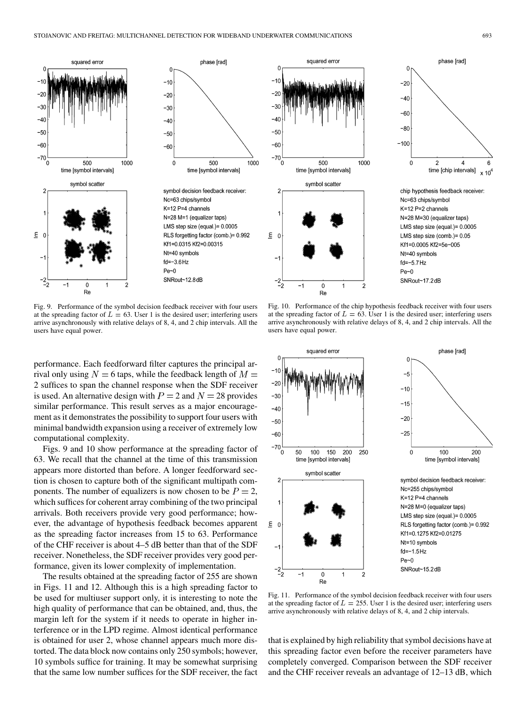



phase fradl

Fig. 9. Performance of the symbol decision feedback receiver with four users at the spreading factor of  $L = 63$ . User 1 is the desired user; interfering users arrive asynchronously with relative delays of 8, 4, and 2 chip intervals. All the users have equal power.

performance. Each feedforward filter captures the principal arrival only using  $N = 6$  taps, while the feedback length of  $M =$ 2 suffices to span the channel response when the SDF receiver is used. An alternative design with  $P = 2$  and  $N = 28$  provides similar performance. This result serves as a major encouragement as it demonstrates the possibility to support four users with minimal bandwidth expansion using a receiver of extremely low computational complexity.

Figs. 9 and 10 show performance at the spreading factor of 63. We recall that the channel at the time of this transmission appears more distorted than before. A longer feedforward section is chosen to capture both of the significant multipath components. The number of equalizers is now chosen to be  $P = 2$ , which suffices for coherent array combining of the two principal arrivals. Both receivers provide very good performance; however, the advantage of hypothesis feedback becomes apparent as the spreading factor increases from 15 to 63. Performance of the CHF receiver is about 4–5 dB better than that of the SDF receiver. Nonetheless, the SDF receiver provides very good performance, given its lower complexity of implementation.

The results obtained at the spreading factor of 255 are shown in Figs. 11 and [12.](#page-9-0) Although this is a high spreading factor to be used for multiuser support only, it is interesting to note the high quality of performance that can be obtained, and, thus, the margin left for the system if it needs to operate in higher interference or in the LPD regime. Almost identical performance is obtained for user 2, whose channel appears much more distorted. The data block now contains only 250 symbols; however, 10 symbols suffice for training. It may be somewhat surprising that the same low number suffices for the SDF receiver, the fact







Fig. 10. Performance of the chip hypothesis feedback receiver with four users at the spreading factor of  $L = 63$ . User 1 is the desired user; interfering users arrive asynchronously with relative delays of 8, 4, and 2 chip intervals. All the users have equal power.



Fig. 11. Performance of the symbol decision feedback receiver with four users at the spreading factor of  $L = 255$ . User 1 is the desired user; interfering users arrive asynchronously with relative delays of 8, 4, and 2 chip intervals.

that is explained by high reliability that symbol decisions have at this spreading factor even before the receiver parameters have completely converged. Comparison between the SDF receiver and the CHF receiver reveals an advantage of 12–13 dB, which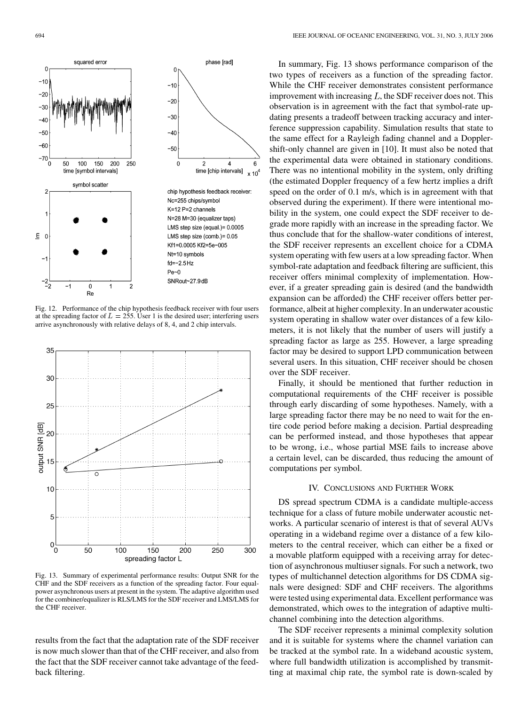<span id="page-9-0"></span>

6  $\overline{4}$ time [chip intervals]  $x 10^4$ chip hypothesis feedback receiver: Nc=255 chips/symbol N=28 M=30 (equalizer taps) LMS step size (equal.)= 0.0005 LMS step size (comb.)= 0.05 Kf1=0.0005 Kf2=5e-005

Fig. 12. Performance of the chip hypothesis feedback receiver with four users at the spreading factor of  $L = 255$ . User 1 is the desired user; interfering users arrive asynchronously with relative delays of 8, 4, and 2 chip intervals.



Fig. 13. Summary of experimental performance results: Output SNR for the CHF and the SDF receivers as a function of the spreading factor. Four equalpower asynchronous users at present in the system. The adaptive algorithm used for the combiner/equalizer is RLS/LMS for the SDF receiver and LMS/LMS for the CHF receiver.

results from the fact that the adaptation rate of the SDF receiver is now much slower than that of the CHF receiver, and also from the fact that the SDF receiver cannot take advantage of the feedback filtering.

In summary, Fig. 13 shows performance comparison of the two types of receivers as a function of the spreading factor. While the CHF receiver demonstrates consistent performance improvement with increasing  $L$ , the SDF receiver does not. This observation is in agreement with the fact that symbol-rate updating presents a tradeoff between tracking accuracy and interference suppression capability. Simulation results that state to the same effect for a Rayleigh fading channel and a Dopplershift-only channel are given in [\[10\]](#page-10-0). It must also be noted that the experimental data were obtained in stationary conditions. There was no intentional mobility in the system, only drifting (the estimated Doppler frequency of a few hertz implies a drift speed on the order of 0.1 m/s, which is in agreement with that observed during the experiment). If there were intentional mobility in the system, one could expect the SDF receiver to degrade more rapidly with an increase in the spreading factor. We thus conclude that for the shallow-water conditions of interest, the SDF receiver represents an excellent choice for a CDMA system operating with few users at a low spreading factor. When symbol-rate adaptation and feedback filtering are sufficient, this receiver offers minimal complexity of implementation. However, if a greater spreading gain is desired (and the bandwidth expansion can be afforded) the CHF receiver offers better performance, albeit at higher complexity. In an underwater acoustic system operating in shallow water over distances of a few kilometers, it is not likely that the number of users will justify a spreading factor as large as 255. However, a large spreading factor may be desired to support LPD communication between several users. In this situation, CHF receiver should be chosen over the SDF receiver.

Finally, it should be mentioned that further reduction in computational requirements of the CHF receiver is possible through early discarding of some hypotheses. Namely, with a large spreading factor there may be no need to wait for the entire code period before making a decision. Partial despreading can be performed instead, and those hypotheses that appear to be wrong, i.e., whose partial MSE fails to increase above a certain level, can be discarded, thus reducing the amount of computations per symbol.

## IV. CONCLUSIONS AND FURTHER WORK

DS spread spectrum CDMA is a candidate multiple-access technique for a class of future mobile underwater acoustic networks. A particular scenario of interest is that of several AUVs operating in a wideband regime over a distance of a few kilometers to the central receiver, which can either be a fixed or a movable platform equipped with a receiving array for detection of asynchronous multiuser signals. For such a network, two types of multichannel detection algorithms for DS CDMA signals were designed: SDF and CHF receivers. The algorithms were tested using experimental data. Excellent performance was demonstrated, which owes to the integration of adaptive multichannel combining into the detection algorithms.

The SDF receiver represents a minimal complexity solution and it is suitable for systems where the channel variation can be tracked at the symbol rate. In a wideband acoustic system, where full bandwidth utilization is accomplished by transmitting at maximal chip rate, the symbol rate is down-scaled by